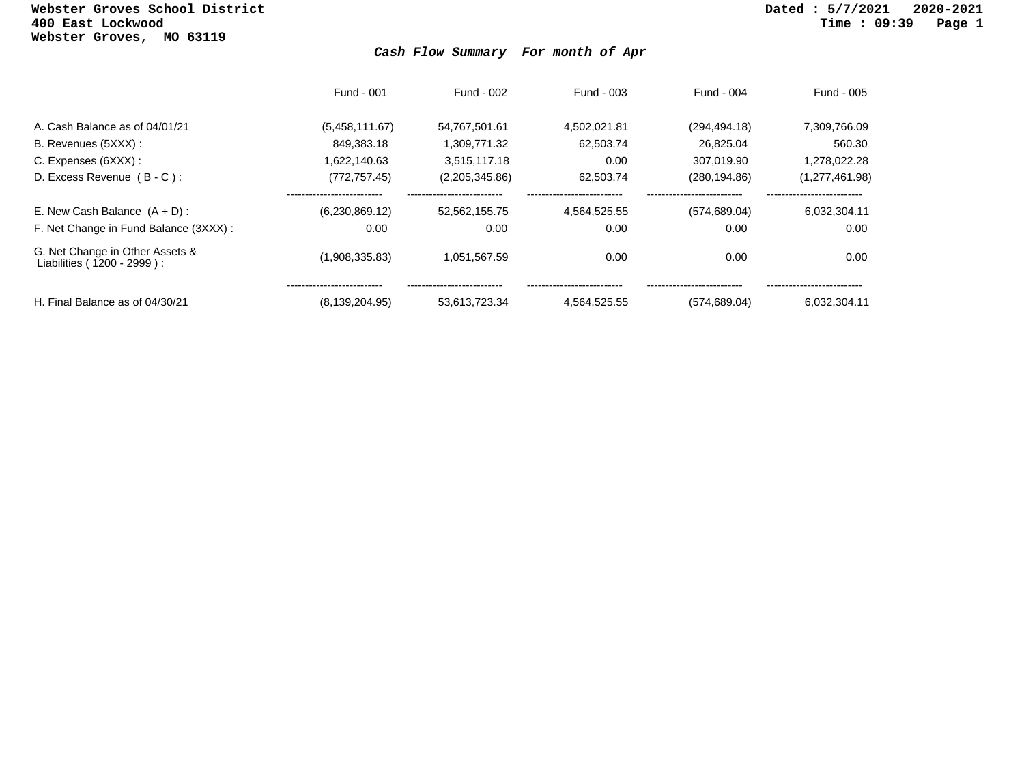## **Webster Groves School District Dated : 5/7/2021 2020-2021 Webster Groves, MO 63119**

## *Cash Flow Summary For month of Apr*

|                                                               | Fund - 001       | Fund - 002     | Fund - 003   | Fund - 004    | Fund - 005     |
|---------------------------------------------------------------|------------------|----------------|--------------|---------------|----------------|
| A. Cash Balance as of 04/01/21                                | (5,458,111.67)   | 54,767,501.61  | 4.502.021.81 | (294, 494.18) | 7,309,766.09   |
| B. Revenues (5XXX) :                                          | 849.383.18       | 1.309.771.32   | 62.503.74    | 26.825.04     | 560.30         |
| C. Expenses (6XXX) :                                          | 1.622.140.63     | 3,515,117.18   | 0.00         | 307,019.90    | 1,278,022.28   |
| D. Excess Revenue $(B - C)$ :                                 | (772, 757.45)    | (2,205,345.86) | 62.503.74    | (280, 194.86) | (1,277,461.98) |
| E. New Cash Balance $(A + D)$ :                               | (6,230,869.12)   | 52.562.155.75  | 4.564.525.55 | (574, 689.04) | 6.032.304.11   |
| F. Net Change in Fund Balance (3XXX) :                        | 0.00             | 0.00           | 0.00         | 0.00          | 0.00           |
| G. Net Change in Other Assets &<br>Liabilities (1200 - 2999): | (1,908,335.83)   | 1,051,567.59   | 0.00         | 0.00          | 0.00           |
| H. Final Balance as of 04/30/21                               | (8, 139, 204.95) | 53.613.723.34  | 4.564.525.55 | (574, 689.04) | 6.032.304.11   |